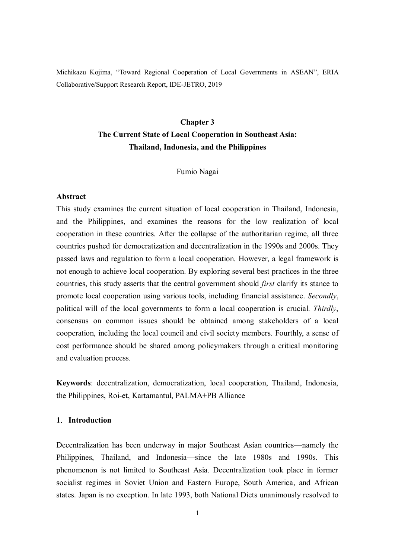Michikazu Kojima, "Toward Regional Cooperation of Local Governments in ASEAN", ERIA Collaborative/Support Research Report, IDE-JETRO, 2019

# **Chapter 3 The Current State of Local Cooperation in Southeast Asia: Thailand, Indonesia, and the Philippines**

#### Fumio Nagai

#### **Abstract**

This study examines the current situation of local cooperation in Thailand, Indonesia, and the Philippines, and examines the reasons for the low realization of local cooperation in these countries. After the collapse of the authoritarian regime, all three countries pushed for democratization and decentralization in the 1990s and 2000s. They passed laws and regulation to form a local cooperation. However, a legal framework is not enough to achieve local cooperation. By exploring several best practices in the three countries, this study asserts that the central government should *first* clarify its stance to promote local cooperation using various tools, including financial assistance. *Secondly*, political will of the local governments to form a local cooperation is crucial. *Thirdly*, consensus on common issues should be obtained among stakeholders of a local cooperation, including the local council and civil society members. Fourthly, a sense of cost performance should be shared among policymakers through a critical monitoring and evaluation process.

**Keywords**: decentralization, democratization, local cooperation, Thailand, Indonesia, the Philippines, Roi-et, Kartamantul, PALMA+PB Alliance

#### **1**.**Introduction**

Decentralization has been underway in major Southeast Asian countries—namely the Philippines, Thailand, and Indonesia—since the late 1980s and 1990s. This phenomenon is not limited to Southeast Asia. Decentralization took place in former socialist regimes in Soviet Union and Eastern Europe, South America, and African states. Japan is no exception. In late 1993, both National Diets unanimously resolved to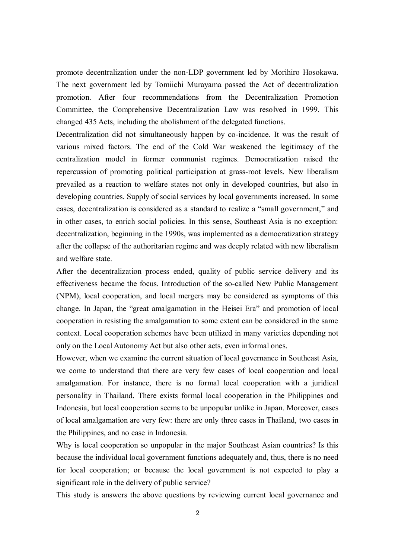promote decentralization under the non-LDP government led by Morihiro Hosokawa. The next government led by Tomiichi Murayama passed the Act of decentralization promotion. After four recommendations from the Decentralization Promotion Committee, the Comprehensive Decentralization Law was resolved in 1999. This changed 435 Acts, including the abolishment of the delegated functions.

Decentralization did not simultaneously happen by co-incidence. It was the result of various mixed factors. The end of the Cold War weakened the legitimacy of the centralization model in former communist regimes. Democratization raised the repercussion of promoting political participation at grass-root levels. New liberalism prevailed as a reaction to welfare states not only in developed countries, but also in developing countries. Supply of social services by local governments increased. In some cases, decentralization is considered as a standard to realize a "small government," and in other cases, to enrich social policies. In this sense, Southeast Asia is no exception: decentralization, beginning in the 1990s, was implemented as a democratization strategy after the collapse of the authoritarian regime and was deeply related with new liberalism and welfare state.

After the decentralization process ended, quality of public service delivery and its effectiveness became the focus. Introduction of the so-called New Public Management (NPM), local cooperation, and local mergers may be considered as symptoms of this change. In Japan, the "great amalgamation in the Heisei Era" and promotion of local cooperation in resisting the amalgamation to some extent can be considered in the same context. Local cooperation schemes have been utilized in many varieties depending not only on the Local Autonomy Act but also other acts, even informal ones.

However, when we examine the current situation of local governance in Southeast Asia, we come to understand that there are very few cases of local cooperation and local amalgamation. For instance, there is no formal local cooperation with a juridical personality in Thailand. There exists formal local cooperation in the Philippines and Indonesia, but local cooperation seems to be unpopular unlike in Japan. Moreover, cases of local amalgamation are very few: there are only three cases in Thailand, two cases in the Philippines, and no case in Indonesia.

Why is local cooperation so unpopular in the major Southeast Asian countries? Is this because the individual local government functions adequately and, thus, there is no need for local cooperation; or because the local government is not expected to play a significant role in the delivery of public service?

This study is answers the above questions by reviewing current local governance and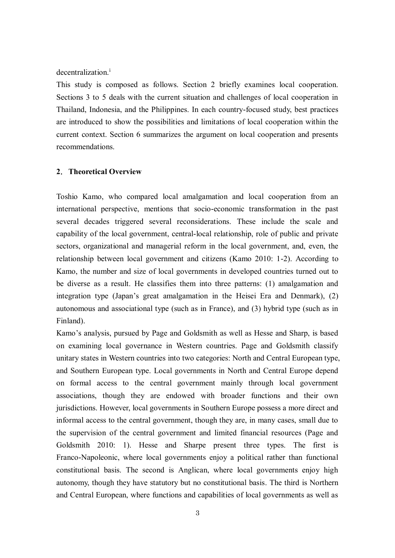decentralization.<sup>i</sup>

This study is composed as follows. Section 2 briefly examines local cooperation. Sections 3 to 5 deals with the current situation and challenges of local cooperation in Thailand, Indonesia, and the Philippines. In each country-focused study, best practices are introduced to show the possibilities and limitations of local cooperation within the current context. Section 6 summarizes the argument on local cooperation and presents recommendations.

## **2**.**Theoretical Overview**

Toshio Kamo, who compared local amalgamation and local cooperation from an international perspective, mentions that socio-economic transformation in the past several decades triggered several reconsiderations. These include the scale and capability of the local government, central-local relationship, role of public and private sectors, organizational and managerial reform in the local government, and, even, the relationship between local government and citizens (Kamo 2010: 1-2). According to Kamo, the number and size of local governments in developed countries turned out to be diverse as a result. He classifies them into three patterns: (1) amalgamation and integration type (Japan's great amalgamation in the Heisei Era and Denmark), (2) autonomous and associational type (such as in France), and (3) hybrid type (such as in Finland).

Kamo's analysis, pursued by Page and Goldsmith as well as Hesse and Sharp, is based on examining local governance in Western countries. Page and Goldsmith classify unitary states in Western countries into two categories: North and Central European type, and Southern European type. Local governments in North and Central Europe depend on formal access to the central government mainly through local government associations, though they are endowed with broader functions and their own jurisdictions. However, local governments in Southern Europe possess a more direct and informal access to the central government, though they are, in many cases, small due to the supervision of the central government and limited financial resources (Page and Goldsmith 2010: 1). Hesse and Sharpe present three types. The first is Franco-Napoleonic, where local governments enjoy a political rather than functional constitutional basis. The second is Anglican, where local governments enjoy high autonomy, though they have statutory but no constitutional basis. The third is Northern and Central European, where functions and capabilities of local governments as well as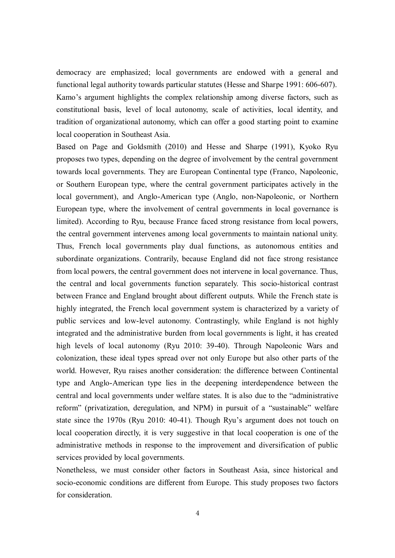democracy are emphasized; local governments are endowed with a general and functional legal authority towards particular statutes (Hesse and Sharpe 1991: 606-607). Kamo's argument highlights the complex relationship among diverse factors, such as constitutional basis, level of local autonomy, scale of activities, local identity, and tradition of organizational autonomy, which can offer a good starting point to examine local cooperation in Southeast Asia.

Based on Page and Goldsmith (2010) and Hesse and Sharpe (1991), Kyoko Ryu proposes two types, depending on the degree of involvement by the central government towards local governments. They are European Continental type (Franco, Napoleonic, or Southern European type, where the central government participates actively in the local government), and Anglo-American type (Anglo, non-Napoleonic, or Northern European type, where the involvement of central governments in local governance is limited). According to Ryu, because France faced strong resistance from local powers, the central government intervenes among local governments to maintain national unity. Thus, French local governments play dual functions, as autonomous entities and subordinate organizations. Contrarily, because England did not face strong resistance from local powers, the central government does not intervene in local governance. Thus, the central and local governments function separately. This socio-historical contrast between France and England brought about different outputs. While the French state is highly integrated, the French local government system is characterized by a variety of public services and low-level autonomy. Contrastingly, while England is not highly integrated and the administrative burden from local governments is light, it has created high levels of local autonomy (Ryu 2010: 39-40). Through Napoleonic Wars and colonization, these ideal types spread over not only Europe but also other parts of the world. However, Ryu raises another consideration: the difference between Continental type and Anglo-American type lies in the deepening interdependence between the central and local governments under welfare states. It is also due to the "administrative reform" (privatization, deregulation, and NPM) in pursuit of a "sustainable" welfare state since the 1970s (Ryu 2010: 40-41). Though Ryu's argument does not touch on local cooperation directly, it is very suggestive in that local cooperation is one of the administrative methods in response to the improvement and diversification of public services provided by local governments.

Nonetheless, we must consider other factors in Southeast Asia, since historical and socio-economic conditions are different from Europe. This study proposes two factors for consideration.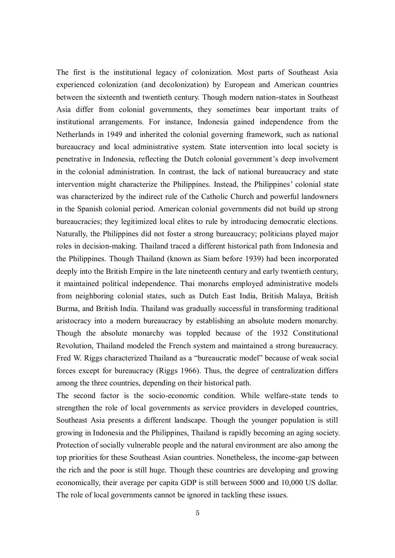The first is the institutional legacy of colonization. Most parts of Southeast Asia experienced colonization (and decolonization) by European and American countries between the sixteenth and twentieth century. Though modern nation-states in Southeast Asia differ from colonial governments, they sometimes bear important traits of institutional arrangements. For instance, Indonesia gained independence from the Netherlands in 1949 and inherited the colonial governing framework, such as national bureaucracy and local administrative system. State intervention into local society is penetrative in Indonesia, reflecting the Dutch colonial government's deep involvement in the colonial administration. In contrast, the lack of national bureaucracy and state intervention might characterize the Philippines. Instead, the Philippines' colonial state was characterized by the indirect rule of the Catholic Church and powerful landowners in the Spanish colonial period. American colonial governments did not build up strong bureaucracies; they legitimized local elites to rule by introducing democratic elections. Naturally, the Philippines did not foster a strong bureaucracy; politicians played major roles in decision-making. Thailand traced a different historical path from Indonesia and the Philippines. Though Thailand (known as Siam before 1939) had been incorporated deeply into the British Empire in the late nineteenth century and early twentieth century, it maintained political independence. Thai monarchs employed administrative models from neighboring colonial states, such as Dutch East India, British Malaya, British Burma, and British India. Thailand was gradually successful in transforming traditional aristocracy into a modern bureaucracy by establishing an absolute modern monarchy. Though the absolute monarchy was toppled because of the 1932 Constitutional Revolution, Thailand modeled the French system and maintained a strong bureaucracy. Fred W. Riggs characterized Thailand as a "bureaucratic model" because of weak social forces except for bureaucracy (Riggs 1966). Thus, the degree of centralization differs among the three countries, depending on their historical path.

The second factor is the socio-economic condition. While welfare-state tends to strengthen the role of local governments as service providers in developed countries, Southeast Asia presents a different landscape. Though the younger population is still growing in Indonesia and the Philippines, Thailand is rapidly becoming an aging society. Protection of socially vulnerable people and the natural environment are also among the top priorities for these Southeast Asian countries. Nonetheless, the income-gap between the rich and the poor is still huge. Though these countries are developing and growing economically, their average per capita GDP is still between 5000 and 10,000 US dollar. The role of local governments cannot be ignored in tackling these issues.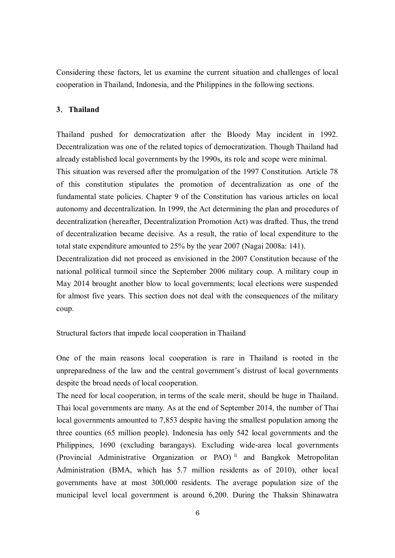Considering these factors, let us examine the current situation and challenges of local cooperation in Thailand, Indonesia, and the Philippines in the following sections.

## **3**.**Thailand**

Thailand pushed for democratization after the Bloody May incident in 1992. Decentralization was one of the related topics of democratization. Though Thailand had already established local governments by the 1990s, its role and scope were minimal.

This situation was reversed after the promulgation of the 1997 Constitution. Article 78 of this constitution stipulates the promotion of decentralization as one of the fundamental state policies. Chapter 9 of the Constitution has various articles on local autonomy and decentralization. In 1999, the Act determining the plan and procedures of decentralization (hereafter, Decentralization Promotion Act) was drafted. Thus, the trend of decentralization became decisive. As a result, the ratio of local expenditure to the total state expenditure amounted to 25% by the year 2007 (Nagai 2008a: 141).

Decentralization did not proceed as envisioned in the 2007 Constitution because of the national political turmoil since the September 2006 military coup. A military coup in May 2014 brought another blow to local governments; local elections were suspended for almost five years. This section does not deal with the consequences of the military coup.

Structural factors that impede local cooperation in Thailand

One of the main reasons local cooperation is rare in Thailand is rooted in the unpreparedness of the law and the central government's distrust of local governments despite the broad needs of local cooperation.

The need for local cooperation, in terms of the scale merit, should be huge in Thailand. Thai local governments are many. As at the end of September 2014, the number of Thai local governments amounted to 7,853 despite having the smallest population among the three counties (65 million people). Indonesia has only 542 local governments and the Philippines, 1690 (excluding barangays). Excluding wide-area local governments (Provincial Administrative Organization or PAO) ii and Bangkok Metropolitan Administration (BMA, which has 5.7 million residents as of 2010), other local governments have at most 300,000 residents. The average population size of the municipal level local government is around 6,200. During the Thaksin Shinawatra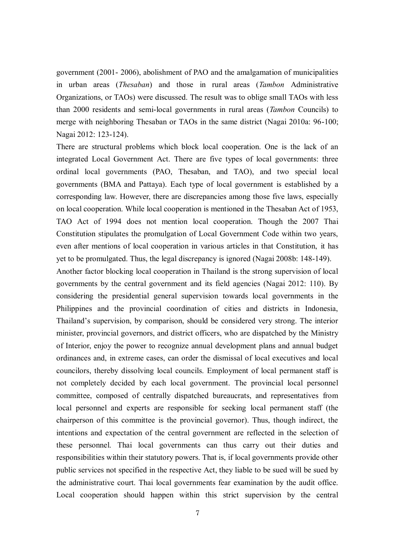government (2001- 2006), abolishment of PAO and the amalgamation of municipalities in urban areas (*Thesaban*) and those in rural areas (*Tambon* Administrative Organizations, or TAOs) were discussed. The result was to oblige small TAOs with less than 2000 residents and semi-local governments in rural areas (*Tambon* Councils) to merge with neighboring Thesaban or TAOs in the same district (Nagai 2010a: 96-100; Nagai 2012: 123-124).

There are structural problems which block local cooperation. One is the lack of an integrated Local Government Act. There are five types of local governments: three ordinal local governments (PAO, Thesaban, and TAO), and two special local governments (BMA and Pattaya). Each type of local government is established by a corresponding law. However, there are discrepancies among those five laws, especially on local cooperation. While local cooperation is mentioned in the Thesaban Act of 1953, TAO Act of 1994 does not mention local cooperation. Though the 2007 Thai Constitution stipulates the promulgation of Local Government Code within two years, even after mentions of local cooperation in various articles in that Constitution, it has yet to be promulgated. Thus, the legal discrepancy is ignored (Nagai 2008b: 148-149).

Another factor blocking local cooperation in Thailand is the strong supervision of local governments by the central government and its field agencies (Nagai 2012: 110). By considering the presidential general supervision towards local governments in the Philippines and the provincial coordination of cities and districts in Indonesia, Thailand's supervision, by comparison, should be considered very strong. The interior minister, provincial governors, and district officers, who are dispatched by the Ministry of Interior, enjoy the power to recognize annual development plans and annual budget ordinances and, in extreme cases, can order the dismissal of local executives and local councilors, thereby dissolving local councils. Employment of local permanent staff is not completely decided by each local government. The provincial local personnel committee, composed of centrally dispatched bureaucrats, and representatives from local personnel and experts are responsible for seeking local permanent staff (the chairperson of this committee is the provincial governor). Thus, though indirect, the intentions and expectation of the central government are reflected in the selection of these personnel. Thai local governments can thus carry out their duties and responsibilities within their statutory powers. That is, if local governments provide other public services not specified in the respective Act, they liable to be sued will be sued by the administrative court. Thai local governments fear examination by the audit office. Local cooperation should happen within this strict supervision by the central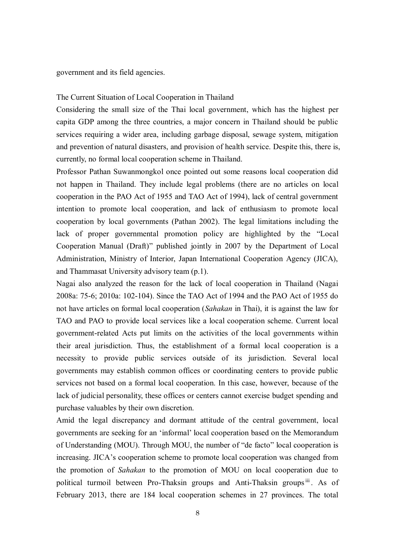#### government and its field agencies.

#### The Current Situation of Local Cooperation in Thailand

Considering the small size of the Thai local government, which has the highest per capita GDP among the three countries, a major concern in Thailand should be public services requiring a wider area, including garbage disposal, sewage system, mitigation and prevention of natural disasters, and provision of health service. Despite this, there is, currently, no formal local cooperation scheme in Thailand.

Professor Pathan Suwanmongkol once pointed out some reasons local cooperation did not happen in Thailand. They include legal problems (there are no articles on local cooperation in the PAO Act of 1955 and TAO Act of 1994), lack of central government intention to promote local cooperation, and lack of enthusiasm to promote local cooperation by local governments (Pathan 2002). The legal limitations including the lack of proper governmental promotion policy are highlighted by the "Local Cooperation Manual (Draft)" published jointly in 2007 by the Department of Local Administration, Ministry of Interior, Japan International Cooperation Agency (JICA), and Thammasat University advisory team (p.1).

Nagai also analyzed the reason for the lack of local cooperation in Thailand (Nagai 2008a: 75-6; 2010a: 102-104). Since the TAO Act of 1994 and the PAO Act of 1955 do not have articles on formal local cooperation (*Sahakan* in Thai), it is against the law for TAO and PAO to provide local services like a local cooperation scheme. Current local government-related Acts put limits on the activities of the local governments within their areal jurisdiction. Thus, the establishment of a formal local cooperation is a necessity to provide public services outside of its jurisdiction. Several local governments may establish common offices or coordinating centers to provide public services not based on a formal local cooperation. In this case, however, because of the lack of judicial personality, these offices or centers cannot exercise budget spending and purchase valuables by their own discretion.

Amid the legal discrepancy and dormant attitude of the central government, local governments are seeking for an 'informal' local cooperation based on the Memorandum of Understanding (MOU). Through MOU, the number of "de facto" local cooperation is increasing. JICA's cooperation scheme to promote local cooperation was changed from the promotion of *Sahakan* to the promotion of MOU on local cooperation due to political turmoil between Pro-Thaksin groups and Anti-Thaksin groups<sup>iii</sup>. As of February 2013, there are 184 local cooperation schemes in 27 provinces. The total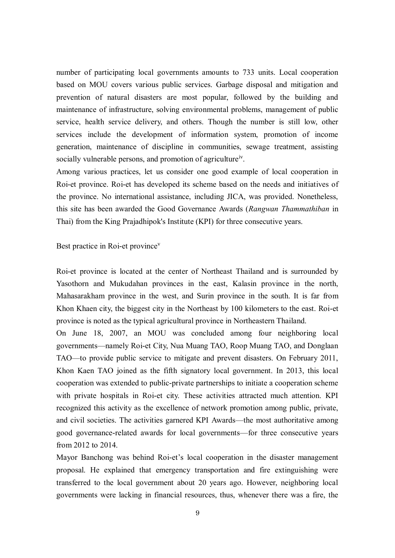number of participating local governments amounts to 733 units. Local cooperation based on MOU covers various public services. Garbage disposal and mitigation and prevention of natural disasters are most popular, followed by the building and maintenance of infrastructure, solving environmental problems, management of public service, health service delivery, and others. Though the number is still low, other services include the development of information system, promotion of income generation, maintenance of discipline in communities, sewage treatment, assisting socially vulnerable persons, and promotion of agricultureiv.

Among various practices, let us consider one good example of local cooperation in Roi-et province. Roi-et has developed its scheme based on the needs and initiatives of the province. No international assistance, including JICA, was provided. Nonetheless, this site has been awarded the Good Governance Awards (*Rangwan Thammathiban* in Thai) from the King Prajadhipok's Institute (KPI) for three consecutive years.

#### Best practice in Roi-et province<sup>v</sup>

Roi-et province is located at the center of Northeast Thailand and is surrounded by Yasothorn and Mukudahan provinces in the east, Kalasin province in the north, Mahasarakham province in the west, and Surin province in the south. It is far from Khon Khaen city, the biggest city in the Northeast by 100 kilometers to the east. Roi-et province is noted as the typical agricultural province in Northeastern Thailand.

On June 18, 2007, an MOU was concluded among four neighboring local governments—namely Roi-et City, Nua Muang TAO, Roop Muang TAO, and Donglaan TAO—to provide public service to mitigate and prevent disasters. On February 2011, Khon Kaen TAO joined as the fifth signatory local government. In 2013, this local cooperation was extended to public-private partnerships to initiate a cooperation scheme with private hospitals in Roi-et city. These activities attracted much attention. KPI recognized this activity as the excellence of network promotion among public, private, and civil societies. The activities garnered KPI Awards—the most authoritative among good governance-related awards for local governments—for three consecutive years from 2012 to 2014.

Mayor Banchong was behind Roi-et's local cooperation in the disaster management proposal. He explained that emergency transportation and fire extinguishing were transferred to the local government about 20 years ago. However, neighboring local governments were lacking in financial resources, thus, whenever there was a fire, the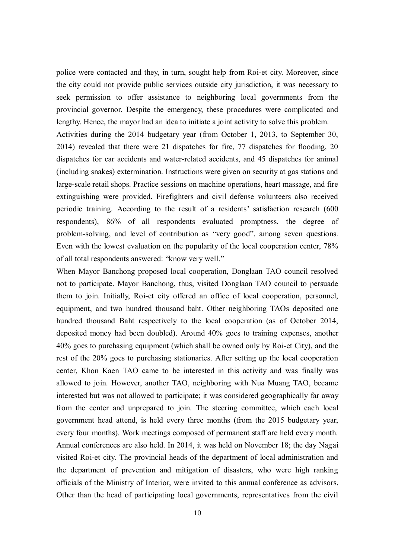police were contacted and they, in turn, sought help from Roi-et city. Moreover, since the city could not provide public services outside city jurisdiction, it was necessary to seek permission to offer assistance to neighboring local governments from the provincial governor. Despite the emergency, these procedures were complicated and lengthy. Hence, the mayor had an idea to initiate a joint activity to solve this problem.

Activities during the 2014 budgetary year (from October 1, 2013, to September 30, 2014) revealed that there were 21 dispatches for fire, 77 dispatches for flooding, 20 dispatches for car accidents and water-related accidents, and 45 dispatches for animal (including snakes) extermination. Instructions were given on security at gas stations and large-scale retail shops. Practice sessions on machine operations, heart massage, and fire extinguishing were provided. Firefighters and civil defense volunteers also received periodic training. According to the result of a residents' satisfaction research (600 respondents), 86% of all respondents evaluated promptness, the degree of problem-solving, and level of contribution as "very good", among seven questions. Even with the lowest evaluation on the popularity of the local cooperation center, 78% of all total respondents answered: "know very well."

When Mayor Banchong proposed local cooperation, Donglaan TAO council resolved not to participate. Mayor Banchong, thus, visited Donglaan TAO council to persuade them to join. Initially, Roi-et city offered an office of local cooperation, personnel, equipment, and two hundred thousand baht. Other neighboring TAOs deposited one hundred thousand Baht respectively to the local cooperation (as of October 2014, deposited money had been doubled). Around 40% goes to training expenses, another 40% goes to purchasing equipment (which shall be owned only by Roi-et City), and the rest of the 20% goes to purchasing stationaries. After setting up the local cooperation center, Khon Kaen TAO came to be interested in this activity and was finally was allowed to join. However, another TAO, neighboring with Nua Muang TAO, became interested but was not allowed to participate; it was considered geographically far away from the center and unprepared to join. The steering committee, which each local government head attend, is held every three months (from the 2015 budgetary year, every four months). Work meetings composed of permanent staff are held every month. Annual conferences are also held. In 2014, it was held on November 18; the day Nagai visited Roi-et city. The provincial heads of the department of local administration and the department of prevention and mitigation of disasters, who were high ranking officials of the Ministry of Interior, were invited to this annual conference as advisors. Other than the head of participating local governments, representatives from the civil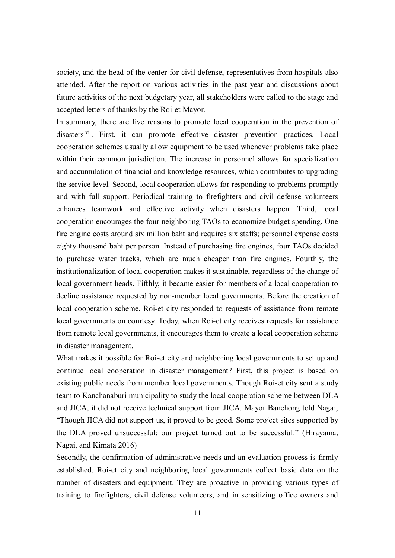society, and the head of the center for civil defense, representatives from hospitals also attended. After the report on various activities in the past year and discussions about future activities of the next budgetary year, all stakeholders were called to the stage and accepted letters of thanks by the Roi-et Mayor.

In summary, there are five reasons to promote local cooperation in the prevention of disasters v<sup>i</sup>. First, it can promote effective disaster prevention practices. Local cooperation schemes usually allow equipment to be used whenever problems take place within their common jurisdiction. The increase in personnel allows for specialization and accumulation of financial and knowledge resources, which contributes to upgrading the service level. Second, local cooperation allows for responding to problems promptly and with full support. Periodical training to firefighters and civil defense volunteers enhances teamwork and effective activity when disasters happen. Third, local cooperation encourages the four neighboring TAOs to economize budget spending. One fire engine costs around six million baht and requires six staffs; personnel expense costs eighty thousand baht per person. Instead of purchasing fire engines, four TAOs decided to purchase water tracks, which are much cheaper than fire engines. Fourthly, the institutionalization of local cooperation makes it sustainable, regardless of the change of local government heads. Fifthly, it became easier for members of a local cooperation to decline assistance requested by non-member local governments. Before the creation of local cooperation scheme, Roi-et city responded to requests of assistance from remote local governments on courtesy. Today, when Roi-et city receives requests for assistance from remote local governments, it encourages them to create a local cooperation scheme in disaster management.

What makes it possible for Roi-et city and neighboring local governments to set up and continue local cooperation in disaster management? First, this project is based on existing public needs from member local governments. Though Roi-et city sent a study team to Kanchanaburi municipality to study the local cooperation scheme between DLA and JICA, it did not receive technical support from JICA. Mayor Banchong told Nagai, "Though JICA did not support us, it proved to be good. Some project sites supported by the DLA proved unsuccessful; our project turned out to be successful." (Hirayama, Nagai, and Kimata 2016)

Secondly, the confirmation of administrative needs and an evaluation process is firmly established. Roi-et city and neighboring local governments collect basic data on the number of disasters and equipment. They are proactive in providing various types of training to firefighters, civil defense volunteers, and in sensitizing office owners and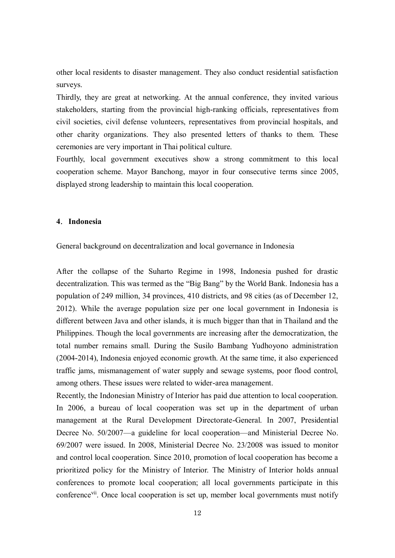other local residents to disaster management. They also conduct residential satisfaction surveys.

Thirdly, they are great at networking. At the annual conference, they invited various stakeholders, starting from the provincial high-ranking officials, representatives from civil societies, civil defense volunteers, representatives from provincial hospitals, and other charity organizations. They also presented letters of thanks to them. These ceremonies are very important in Thai political culture.

Fourthly, local government executives show a strong commitment to this local cooperation scheme. Mayor Banchong, mayor in four consecutive terms since 2005, displayed strong leadership to maintain this local cooperation.

#### **4**.**Indonesia**

General background on decentralization and local governance in Indonesia

After the collapse of the Suharto Regime in 1998, Indonesia pushed for drastic decentralization. This was termed as the "Big Bang" by the World Bank. Indonesia has a population of 249 million, 34 provinces, 410 districts, and 98 cities (as of December 12, 2012). While the average population size per one local government in Indonesia is different between Java and other islands, it is much bigger than that in Thailand and the Philippines. Though the local governments are increasing after the democratization, the total number remains small. During the Susilo Bambang Yudhoyono administration (2004-2014), Indonesia enjoyed economic growth. At the same time, it also experienced traffic jams, mismanagement of water supply and sewage systems, poor flood control, among others. These issues were related to wider-area management.

Recently, the Indonesian Ministry of Interior has paid due attention to local cooperation. In 2006, a bureau of local cooperation was set up in the department of urban management at the Rural Development Directorate-General. In 2007, Presidential Decree No. 50/2007—a guideline for local cooperation—and Ministerial Decree No. 69/2007 were issued. In 2008, Ministerial Decree No. 23/2008 was issued to monitor and control local cooperation. Since 2010, promotion of local cooperation has become a prioritized policy for the Ministry of Interior. The Ministry of Interior holds annual conferences to promote local cooperation; all local governments participate in this conference<sup>vii</sup>. Once local cooperation is set up, member local governments must notify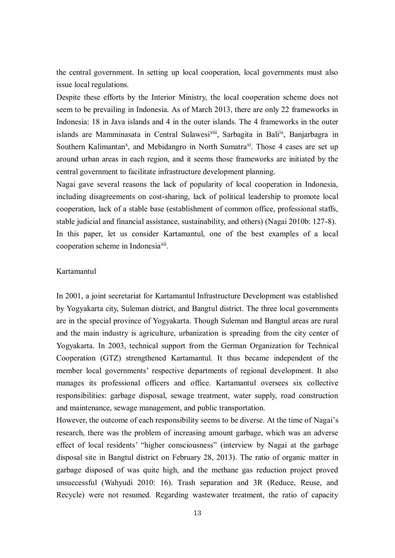the central government. In setting up local cooperation, local governments must also issue local regulations.

Despite these efforts by the Interior Ministry, the local cooperation scheme does not seem to be prevailing in Indonesia. As of March 2013, there are only 22 frameworks in Indonesia: 18 in Java islands and 4 in the outer islands. The 4 frameworks in the outer islands are Mamminasata in Central Sulawesi<sup>viii</sup>, Sarbagita in Bali<sup>ix</sup>, Banjarbagra in Southern Kalimantan<sup>x</sup>, and Mebidangro in North Sumatra<sup>xi</sup>. Those 4 cases are set up around urban areas in each region, and it seems those frameworks are initiated by the central government to facilitate infrastructure development planning.

Nagai gave several reasons the lack of popularity of local cooperation in Indonesia, including disagreements on cost-sharing, lack of political leadership to promote local cooperation, lack of a stable base (establishment of common office, professional staffs, stable judicial and financial assistance, sustainability, and others) (Nagai 2010b: 127-8). In this paper, let us consider Kartamantul, one of the best examples of a local cooperation scheme in Indonesia<sup>xii</sup>.

## Kartamantul

In 2001, a joint secretariat for Kartamantul Infrastructure Development was established by Yogyakarta city, Suleman district, and Bangtul district. The three local governments are in the special province of Yogyakarta. Though Suleman and Bangtul areas are rural and the main industry is agriculture, urbanization is spreading from the city center of Yogyakarta. In 2003, technical support from the German Organization for Technical Cooperation (GTZ) strengthened Kartamantul. It thus became independent of the member local governments' respective departments of regional development. It also manages its professional officers and office. Kartamantul oversees six collective responsibilities: garbage disposal, sewage treatment, water supply, road construction and maintenance, sewage management, and public transportation.

However, the outcome of each responsibility seems to be diverse. At the time of Nagai's research, there was the problem of increasing amount garbage, which was an adverse effect of local residents' "higher consciousness" (interview by Nagai at the garbage disposal site in Bangtul district on February 28, 2013). The ratio of organic matter in garbage disposed of was quite high, and the methane gas reduction project proved unsuccessful (Wahyudi 2010: 16). Trash separation and 3R (Reduce, Reuse, and Recycle) were not resumed. Regarding wastewater treatment, the ratio of capacity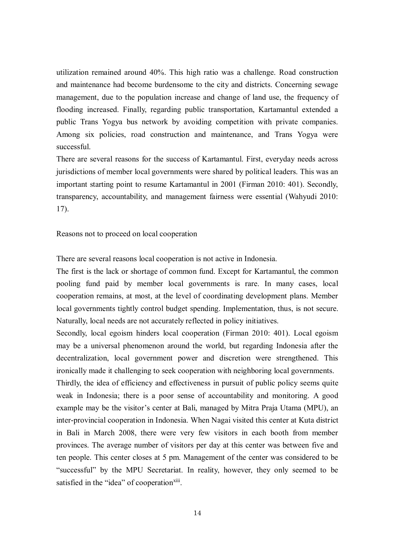utilization remained around 40%. This high ratio was a challenge. Road construction and maintenance had become burdensome to the city and districts. Concerning sewage management, due to the population increase and change of land use, the frequency of flooding increased. Finally, regarding public transportation, Kartamantul extended a public Trans Yogya bus network by avoiding competition with private companies. Among six policies, road construction and maintenance, and Trans Yogya were successful.

There are several reasons for the success of Kartamantul. First, everyday needs across jurisdictions of member local governments were shared by political leaders. This was an important starting point to resume Kartamantul in 2001 (Firman 2010: 401). Secondly, transparency, accountability, and management fairness were essential (Wahyudi 2010: 17).

Reasons not to proceed on local cooperation

There are several reasons local cooperation is not active in Indonesia.

The first is the lack or shortage of common fund. Except for Kartamantul, the common pooling fund paid by member local governments is rare. In many cases, local cooperation remains, at most, at the level of coordinating development plans. Member local governments tightly control budget spending. Implementation, thus, is not secure. Naturally, local needs are not accurately reflected in policy initiatives.

Secondly, local egoism hinders local cooperation (Firman 2010: 401). Local egoism may be a universal phenomenon around the world, but regarding Indonesia after the decentralization, local government power and discretion were strengthened. This ironically made it challenging to seek cooperation with neighboring local governments.

Thirdly, the idea of efficiency and effectiveness in pursuit of public policy seems quite weak in Indonesia; there is a poor sense of accountability and monitoring. A good example may be the visitor's center at Bali, managed by Mitra Praja Utama (MPU), an inter-provincial cooperation in Indonesia. When Nagai visited this center at Kuta district in Bali in March 2008, there were very few visitors in each booth from member provinces. The average number of visitors per day at this center was between five and ten people. This center closes at 5 pm. Management of the center was considered to be "successful" by the MPU Secretariat. In reality, however, they only seemed to be satisfied in the "idea" of cooperation<sup>xiii</sup>.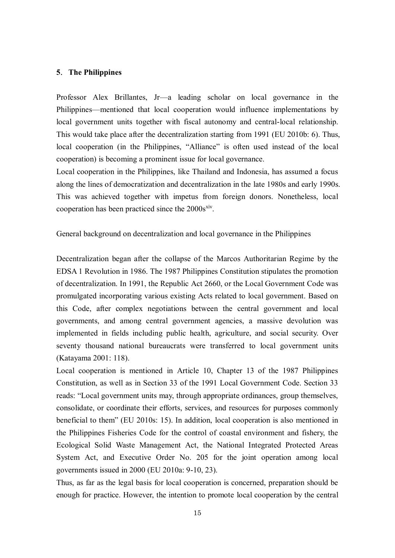## **5**.**The Philippines**

Professor Alex Brillantes, Jr—a leading scholar on local governance in the Philippines—mentioned that local cooperation would influence implementations by local government units together with fiscal autonomy and central-local relationship. This would take place after the decentralization starting from 1991 (EU 2010b: 6). Thus, local cooperation (in the Philippines, "Alliance" is often used instead of the local cooperation) is becoming a prominent issue for local governance.

Local cooperation in the Philippines, like Thailand and Indonesia, has assumed a focus along the lines of democratization and decentralization in the late 1980s and early 1990s. This was achieved together with impetus from foreign donors. Nonetheless, local cooperation has been practiced since the  $2000s<sup>xiv</sup>$ .

General background on decentralization and local governance in the Philippines

Decentralization began after the collapse of the Marcos Authoritarian Regime by the EDSA 1 Revolution in 1986. The 1987 Philippines Constitution stipulates the promotion of decentralization. In 1991, the Republic Act 2660, or the Local Government Code was promulgated incorporating various existing Acts related to local government. Based on this Code, after complex negotiations between the central government and local governments, and among central government agencies, a massive devolution was implemented in fields including public health, agriculture, and social security. Over seventy thousand national bureaucrats were transferred to local government units (Katayama 2001: 118).

Local cooperation is mentioned in Article 10, Chapter 13 of the 1987 Philippines Constitution, as well as in Section 33 of the 1991 Local Government Code. Section 33 reads: "Local government units may, through appropriate ordinances, group themselves, consolidate, or coordinate their efforts, services, and resources for purposes commonly beneficial to them" (EU 2010s: 15). In addition, local cooperation is also mentioned in the Philippines Fisheries Code for the control of coastal environment and fishery, the Ecological Solid Waste Management Act, the National Integrated Protected Areas System Act, and Executive Order No. 205 for the joint operation among local governments issued in 2000 (EU 2010a: 9-10, 23).

Thus, as far as the legal basis for local cooperation is concerned, preparation should be enough for practice. However, the intention to promote local cooperation by the central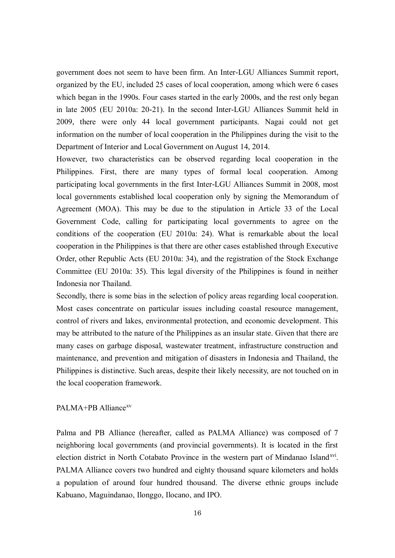government does not seem to have been firm. An Inter-LGU Alliances Summit report, organized by the EU, included 25 cases of local cooperation, among which were 6 cases which began in the 1990s. Four cases started in the early 2000s, and the rest only began in late 2005 (EU 2010a: 20-21). In the second Inter-LGU Alliances Summit held in 2009, there were only 44 local government participants. Nagai could not get information on the number of local cooperation in the Philippines during the visit to the Department of Interior and Local Government on August 14, 2014.

However, two characteristics can be observed regarding local cooperation in the Philippines. First, there are many types of formal local cooperation. Among participating local governments in the first Inter-LGU Alliances Summit in 2008, most local governments established local cooperation only by signing the Memorandum of Agreement (MOA). This may be due to the stipulation in Article 33 of the Local Government Code, calling for participating local governments to agree on the conditions of the cooperation (EU 2010a: 24). What is remarkable about the local cooperation in the Philippines is that there are other cases established through Executive Order, other Republic Acts (EU 2010a: 34), and the registration of the Stock Exchange Committee (EU 2010a: 35). This legal diversity of the Philippines is found in neither Indonesia nor Thailand.

Secondly, there is some bias in the selection of policy areas regarding local cooperation. Most cases concentrate on particular issues including coastal resource management, control of rivers and lakes, environmental protection, and economic development. This may be attributed to the nature of the Philippines as an insular state. Given that there are many cases on garbage disposal, wastewater treatment, infrastructure construction and maintenance, and prevention and mitigation of disasters in Indonesia and Thailand, the Philippines is distinctive. Such areas, despite their likely necessity, are not touched on in the local cooperation framework.

#### PALMA+PB Alliance<sup>xv</sup>

Palma and PB Alliance (hereafter, called as PALMA Alliance) was composed of 7 neighboring local governments (and provincial governments). It is located in the first election district in North Cotabato Province in the western part of Mindanao Island<sup>xvi</sup>. PALMA Alliance covers two hundred and eighty thousand square kilometers and holds a population of around four hundred thousand. The diverse ethnic groups include Kabuano, Maguindanao, Ilonggo, Ilocano, and IPO.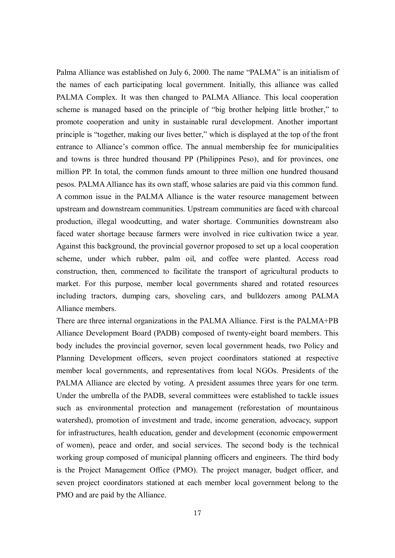Palma Alliance was established on July 6, 2000. The name "PALMA" is an initialism of the names of each participating local government. Initially, this alliance was called PALMA Complex. It was then changed to PALMA Alliance. This local cooperation scheme is managed based on the principle of "big brother helping little brother," to promote cooperation and unity in sustainable rural development. Another important principle is "together, making our lives better," which is displayed at the top of the front entrance to Alliance's common office. The annual membership fee for municipalities and towns is three hundred thousand PP (Philippines Peso), and for provinces, one million PP. In total, the common funds amount to three million one hundred thousand pesos. PALMA Alliance has its own staff, whose salaries are paid via this common fund. A common issue in the PALMA Alliance is the water resource management between upstream and downstream communities. Upstream communities are faced with charcoal production, illegal woodcutting, and water shortage. Communities downstream also faced water shortage because farmers were involved in rice cultivation twice a year. Against this background, the provincial governor proposed to set up a local cooperation scheme, under which rubber, palm oil, and coffee were planted. Access road construction, then, commenced to facilitate the transport of agricultural products to market. For this purpose, member local governments shared and rotated resources including tractors, dumping cars, shoveling cars, and bulldozers among PALMA Alliance members.

There are three internal organizations in the PALMA Alliance. First is the PALMA+PB Alliance Development Board (PADB) composed of twenty-eight board members. This body includes the provincial governor, seven local government heads, two Policy and Planning Development officers, seven project coordinators stationed at respective member local governments, and representatives from local NGOs. Presidents of the PALMA Alliance are elected by voting. A president assumes three years for one term. Under the umbrella of the PADB, several committees were established to tackle issues such as environmental protection and management (reforestation of mountainous watershed), promotion of investment and trade, income generation, advocacy, support for infrastructures, health education, gender and development (economic empowerment of women), peace and order, and social services. The second body is the technical working group composed of municipal planning officers and engineers. The third body is the Project Management Office (PMO). The project manager, budget officer, and seven project coordinators stationed at each member local government belong to the PMO and are paid by the Alliance.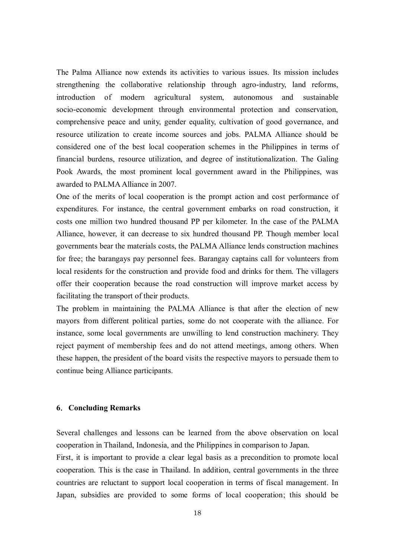The Palma Alliance now extends its activities to various issues. Its mission includes strengthening the collaborative relationship through agro-industry, land reforms, introduction of modern agricultural system, autonomous and sustainable socio-economic development through environmental protection and conservation, comprehensive peace and unity, gender equality, cultivation of good governance, and resource utilization to create income sources and jobs. PALMA Alliance should be considered one of the best local cooperation schemes in the Philippines in terms of financial burdens, resource utilization, and degree of institutionalization. The Galing Pook Awards, the most prominent local government award in the Philippines, was awarded to PALMA Alliance in 2007.

One of the merits of local cooperation is the prompt action and cost performance of expenditures. For instance, the central government embarks on road construction, it costs one million two hundred thousand PP per kilometer. In the case of the PALMA Alliance, however, it can decrease to six hundred thousand PP. Though member local governments bear the materials costs, the PALMA Alliance lends construction machines for free; the barangays pay personnel fees. Barangay captains call for volunteers from local residents for the construction and provide food and drinks for them. The villagers offer their cooperation because the road construction will improve market access by facilitating the transport of their products.

The problem in maintaining the PALMA Alliance is that after the election of new mayors from different political parties, some do not cooperate with the alliance. For instance, some local governments are unwilling to lend construction machinery. They reject payment of membership fees and do not attend meetings, among others. When these happen, the president of the board visits the respective mayors to persuade them to continue being Alliance participants.

#### **6**.**Concluding Remarks**

Several challenges and lessons can be learned from the above observation on local cooperation in Thailand, Indonesia, and the Philippines in comparison to Japan.

First, it is important to provide a clear legal basis as a precondition to promote local cooperation. This is the case in Thailand. In addition, central governments in the three countries are reluctant to support local cooperation in terms of fiscal management. In Japan, subsidies are provided to some forms of local cooperation; this should be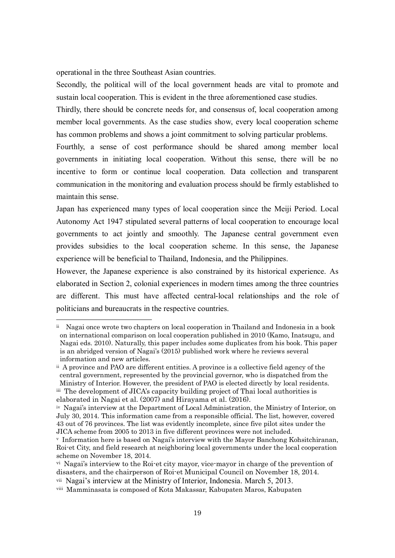operational in the three Southeast Asian countries.

Secondly, the political will of the local government heads are vital to promote and sustain local cooperation. This is evident in the three aforementioned case studies.

Thirdly, there should be concrete needs for, and consensus of, local cooperation among member local governments. As the case studies show, every local cooperation scheme has common problems and shows a joint commitment to solving particular problems.

Fourthly, a sense of cost performance should be shared among member local governments in initiating local cooperation. Without this sense, there will be no incentive to form or continue local cooperation. Data collection and transparent communication in the monitoring and evaluation process should be firmly established to maintain this sense.

Japan has experienced many types of local cooperation since the Meiji Period. Local Autonomy Act 1947 stipulated several patterns of local cooperation to encourage local governments to act jointly and smoothly. The Japanese central government even provides subsidies to the local cooperation scheme. In this sense, the Japanese experience will be beneficial to Thailand, Indonesia, and the Philippines.

However, the Japanese experience is also constrained by its historical experience. As elaborated in Section 2, colonial experiences in modern times among the three countries are different. This must have affected central-local relationships and the role of politicians and bureaucrats in the respective countries.

 $\overline{a}$ 

<sup>i</sup><sup>i</sup> Nagai once wrote two chapters on local cooperation in Thailand and Indonesia in a book on international comparison on local cooperation published in 2010 (Kamo, Inatsugu, and Nagai eds. 2010). Naturally, this paper includes some duplicates from his book. This paper is an abridged version of Nagai's (2015) published work where he reviews several information and new articles.

ii A province and PAO are different entities. A province is a collective field agency of the central government, represented by the provincial governor, who is dispatched from the Ministry of Interior. However, the president of PAO is elected directly by local residents. iii The development of JICA's capacity building project of Thai local authorities is

elaborated in Nagai et al. (2007) and Hirayama et al. (2016).

iv Nagai's interview at the Department of Local Administration, the Ministry of Interior, on July 30, 2014. This information came from a responsible official. The list, however, covered 43 out of 76 provinces. The list was evidently incomplete, since five pilot sites under the JICA scheme from 2005 to 2013 in five different provinces were not included.

<sup>v</sup> Information here is based on Nagai's interview with the Mayor Banchong Kohsitchiranan, Roi-et City, and field research at neighboring local governments under the local cooperation scheme on November 18, 2014.

vi Nagai's interview to the Roi-et city mayor, vice-mayor in charge of the prevention of disasters, and the chairperson of Roi-et Municipal Council on November 18, 2014.

vii Nagai's interview at the Ministry of Interior, Indonesia. March 5, 2013.

viii Mamminasata is composed of Kota Makassar, Kabupaten Maros, Kabupaten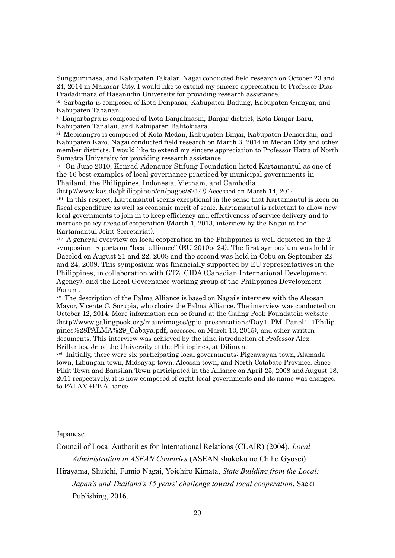Sungguminasa, and Kabupaten Takalar. Nagai conducted field research on October 23 and 24, 2014 in Makasar City. I would like to extend my sincere appreciation to Professor Dias Pradadimara of Hasanudin University for providing research assistance.

ix Sarbagita is composed of Kota Denpasar, Kabupaten Badung, Kabupaten Gianyar, and Kabupaten Tabanan.

<sup>x</sup> Banjarbagra is composed of Kota Banjalmasin, Banjar district, Kota Banjar Baru, Kabupaten Tanalau, and Kabupaten Balitokuara.

xi Mebidangro is composed of Kota Medan, Kabupaten Binjai, Kabupaten Deliserdan, and Kabupaten Karo. Nagai conducted field research on March 3, 2014 in Medan City and other member districts. I would like to extend my sincere appreciation to Professor Hatta of North Sumatra University for providing research assistance.

xii On June 2010, Konrad-Adenauer Stifung Foundation listed Kartamantul as one of the 16 best examples of local governance practiced by municipal governments in Thailand, the Philippines, Indonesia, Vietnam, and Cambodia.

(http://www.kas.de/philippinen/en/pages/8214/) Accessed on March 14, 2014.

xiii In this respect, Kartamantul seems exceptional in the sense that Kartamantul is keen on fiscal expenditure as well as economic merit of scale. Kartamantul is reluctant to allow new local governments to join in to keep efficiency and effectiveness of service delivery and to increase policy areas of cooperation (March 1, 2013, interview by the Nagai at the Kartamantul Joint Secretariat).

xiv A general overview on local cooperation in the Philippines is well depicted in the 2 symposium reports on "local alliance" (EU 2010b: 24). The first symposium was held in Bacolod on August 21 and 22, 2008 and the second was held in Cebu on September 22 and 24, 2009. This symposium was financially supported by EU representatives in the Philippines, in collaboration with GTZ, CIDA (Canadian International Development Agency), and the Local Governance working group of the Philippines Development Forum.

xv The description of the Palma Alliance is based on Nagai's interview with the Aleosan Mayor, Vicente C. Sorupia, who chairs the Palma Alliance. The interview was conducted on October 12, 2014. More information can be found at the Galing Pook Foundatoin website (http://www.galingpook.org/main/images/gpic\_presentations/Day1\_PM\_Panel1\_1Philip pines%28PALMA%29\_Cabaya.pdf, accessed on March 13, 2015), and other written documents. This interview was achieved by the kind introduction of Professor Alex Brillantes, Jr. of the University of the Philippines, at Diliman.

xvi Initially, there were six participating local governments: Pigcawayan town, Alamada town, Libungan town, Midsayap town, Aleosan town, and North Cotabato Province. Since Pikit Town and Bansilan Town participated in the Alliance on April 25, 2008 and August 18, 2011 respectively, it is now composed of eight local governments and its name was changed to PALAM+PB Alliance.

Japanese

 $\overline{a}$ 

Council of Local Authorities for International Relations (CLAIR) (2004), *Local* 

*Administration in ASEAN Countries* (ASEAN shokoku no Chiho Gyosei)

Hirayama, Shuichi, Fumio Nagai, Yoichiro Kimata, *State Building from the Local: Japan's and Thailand's 15 years' challenge toward local cooperation*, Saeki Publishing, 2016.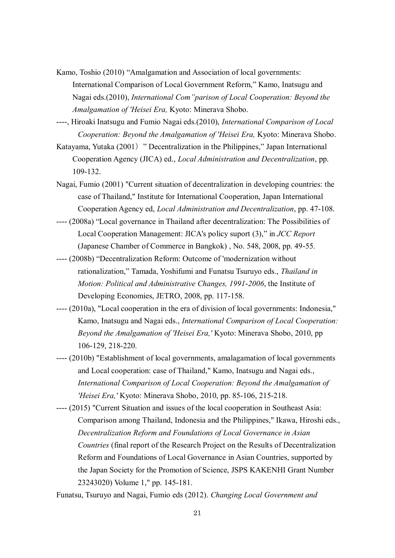- Kamo, Toshio (2010) "Amalgamation and Association of local governments: International Comparison of Local Government Reform," Kamo, Inatsugu and Nagai eds.(2010), *International Com"parison of Local Cooperation: Beyond the Amalgamation of 'Heisei Era,* Kyoto: Minerava Shobo.
- ----, Hiroaki Inatsugu and Fumio Nagai eds.(2010), *International Comparison of Local Cooperation: Beyond the Amalgamation of 'Heisei Era,* Kyoto: Minerava Shobo.
- Katayama, Yutaka (2001) " Decentralization in the Philippines," Japan International Cooperation Agency (JICA) ed., *Local Administration and Decentralization*, pp. 109-132.
- Nagai, Fumio (2001) "Current situation of decentralization in developing countries: the case of Thailand," Institute for International Cooperation, Japan International Cooperation Agency ed, *Local Administration and Decentralization*, pp. 47-108.
- ---- (2008a) "Local governance in Thailand after decentralization: The Possibilities of Local Cooperation Management: JICA's policy suport (3)," in *JCC Report* (Japanese Chamber of Commerce in Bangkok) , No. 548, 2008, pp. 49-55.
- ---- (2008b) "Decentralization Reform: Outcome of 'modernization without rationalization," Tamada, Yoshifumi and Funatsu Tsuruyo eds., *Thailand in Motion: Political and Administrative Changes, 1991-2006*, the Institute of Developing Economies, JETRO, 2008, pp. 117-158.
- ---- (2010a), "Local cooperation in the era of division of local governments: Indonesia," Kamo, Inatsugu and Nagai eds., *International Comparison of Local Cooperation: Beyond the Amalgamation of 'Heisei Era,'* Kyoto: Minerava Shobo, 2010, pp 106-129, 218-220.
- ---- (2010b) "Establishment of local governments, amalagamation of local governments and Local cooperation: case of Thailand," Kamo, Inatsugu and Nagai eds., *International Comparison of Local Cooperation: Beyond the Amalgamation of 'Heisei Era,'* Kyoto: Minerava Shobo, 2010, pp. 85-106, 215-218.
- ---- (2015) "Current Situation and issues of the local cooperation in Southeast Asia: Comparison among Thailand, Indonesia and the Philippines," Ikawa, Hiroshi eds., *Decentralization Reform and Foundations of Local Governance in Asian Countries* (final report of the Research Project on the Results of Decentralization Reform and Foundations of Local Governance in Asian Countries, supported by the Japan Society for the Promotion of Science, JSPS KAKENHI Grant Number 23243020) Volume 1," pp. 145-181.

Funatsu, Tsuruyo and Nagai, Fumio eds (2012). *Changing Local Government and*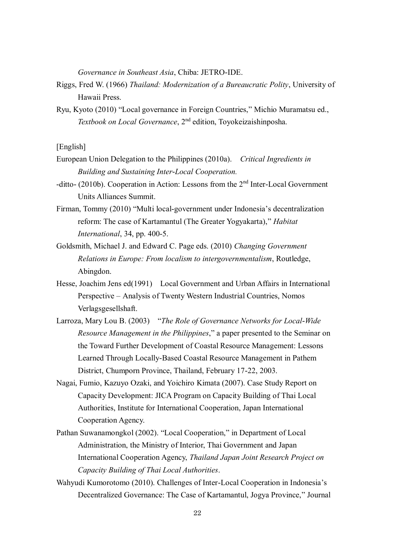*Governance in Southeast Asia*, Chiba: JETRO-IDE.

- Riggs, Fred W. (1966) *Thailand: Modernization of a Bureaucratic Polity*, University of Hawaii Press.
- Ryu, Kyoto (2010) "Local governance in Foreign Countries," Michio Muramatsu ed., *Textbook on Local Governance*, 2nd edition, Toyokeizaishinposha.

[English]

- European Union Delegation to the Philippines (2010a). *Critical Ingredients in Building and Sustaining Inter-Local Cooperation.*
- -ditto- (2010b). Cooperation in Action: Lessons from the  $2<sup>nd</sup>$  Inter-Local Government Units Alliances Summit.
- Firman, Tommy (2010) "Multi local-government under Indonesia's decentralization reform: The case of Kartamantul (The Greater Yogyakarta)," *Habitat International*, 34, pp. 400-5.
- Goldsmith, Michael J. and Edward C. Page eds. (2010) *Changing Government Relations in Europe: From localism to intergovernmentalism*, Routledge, Abingdon.
- Hesse, Joachim Jens ed(1991) Local Government and Urban Affairs in International Perspective – Analysis of Twenty Western Industrial Countries, Nomos Verlagsgesellshaft.
- Larroza, Mary Lou B. (2003) "*The Role of Governance Networks for Local-Wide Resource Management in the Philippines*," a paper presented to the Seminar on the Toward Further Development of Coastal Resource Management: Lessons Learned Through Locally-Based Coastal Resource Management in Pathem District, Chumporn Province, Thailand, February 17-22, 2003.
- Nagai, Fumio, Kazuyo Ozaki, and Yoichiro Kimata (2007). Case Study Report on Capacity Development: JICA Program on Capacity Building of Thai Local Authorities, Institute for International Cooperation, Japan International Cooperation Agency.
- Pathan Suwanamongkol (2002). "Local Cooperation," in Department of Local Administration, the Ministry of Interior, Thai Government and Japan International Cooperation Agency, *Thailand Japan Joint Research Project on Capacity Building of Thai Local Authorities*.
- Wahyudi Kumorotomo (2010). Challenges of Inter-Local Cooperation in Indonesia's Decentralized Governance: The Case of Kartamantul, Jogya Province," Journal